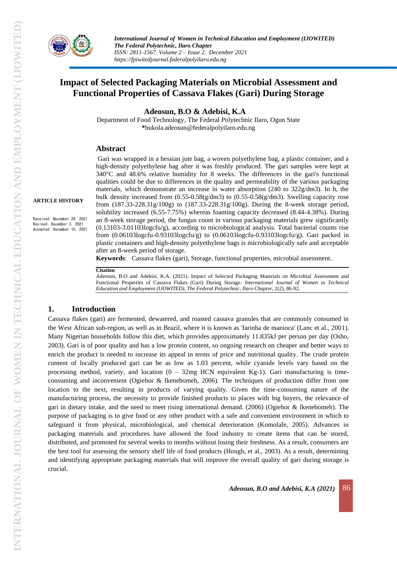

# **Impact of Selected Packaging Materials on Microbial Assessment and Functional Properties of Cassava Flakes (Gari) During Storage**

**Adeosun, B.O & Adebisi, K.A**

Department of Food Technology, The Federal Polytechnic Ilaro, Ogun State **\***bukola.adeosun@federalpolyilaro.edu.ng

#### **Abstract**

Gari was wrapped in a hessian jute bag, a woven polyethylene bag, a plastic container, and a high-density polyethylene bag after it was freshly produced. The gari samples were kept at 340°C and 48.6% relative humidity for 8 weeks. The differences in the gari's functional qualities could be due to differences in the quality and permeability of the various packaging materials, which demonstrate an increase in water absorption  $(240 \text{ to } 322 \text{g/dm3})$ . In h, the bulk density increased from (0.55-0.58(g/dm3) to (0.55-0.58(g/dm3). Swelling capacity rose from (187.33-228.31g/100g) to (187.33-228.31g/100g). During the 8-week storage period, solubility increased (6.55-7.75%) whereas foaming capacity decreased (8.44-4.38%). During an 8-week storage period, the fungus count in various packaging materials grew significantly (0.13103-3.01103logcfu/g), according to microbiological analysis. Total bacterial counts rise from (0.06103logcfu-0.93103logcfu/g) to (0.06103logcfu-0.93103logcfu/g). Gari packed in plastic containers and high-density polyethylene bags is microbiologically safe and acceptable after an 8-week period of storage.

**Keywords**: Cassava flakes (gari), Storage, functional properties, microbial assessment.

#### **Citation**

Adeosun, B.O and Adebisi, K.A. (2021). Impact of Selected Packaging Materials on Microbial Assessment and Functional Properties of Cassava Flakes (Gari) During Storage. *International Journal of Women in Technical Education and Employment (IJOWITED), The Federal Polytechnic, Ilaro Chapter*, 2(2), 86-92.

#### **1. Introduction**

Cassava flakes (gari) are fermented, dewatered, and roasted cassava granules that are commonly consumed in the West African sub-region, as well as in Brazil, where it is known as 'farinha de manioca' (Lanc et al., 2001). Many Nigerian households follow this diet, which provides approximately 11.835kJ per person per day (Osho, 2003). Gari is of poor quality and has a low protein content, so ongoing research on cheaper and better ways to enrich the product is needed to increase its appeal in terms of price and nutritional quality. The crude protein content of locally produced gari can be as low as 1.03 percent, while cyanide levels vary based on the processing method, variety, and location  $(0 - 32mg$  HCN equivalent Kg-1). Gari manufacturing is timeconsuming and inconvenient (Ogiehor & Ikenebomeh, 2006). The techniques of production differ from one location to the next, resulting in products of varying quality. Given the time-consuming nature of the manufacturing process, the necessity to provide finished products to places with big buyers, the relevance of gari in dietary intake, and the need to meet rising international demand. (2006) (Ogiehor & Ikenebomeh). The purpose of packaging is to give food or any other product with a safe and convenient environment in which to safeguard it from physical, microbiological, and chemical deterioration (Komolafe, 2005). Advances in packaging materials and procedures have allowed the food industry to create items that can be stored, distributed, and promoted for several weeks to months without losing their freshness. As a result, consumers are the best tool for assessing the sensory shelf life of food products (Hough, et al., 2003). As a result, determining and identifying appropriate packaging materials that will improve the overall quality of gari during storage is crucial.

**ARTICLE HISTORY**

Received: November 29, 2021 Revised: December 3, 2021 Accepted: December 15, 2021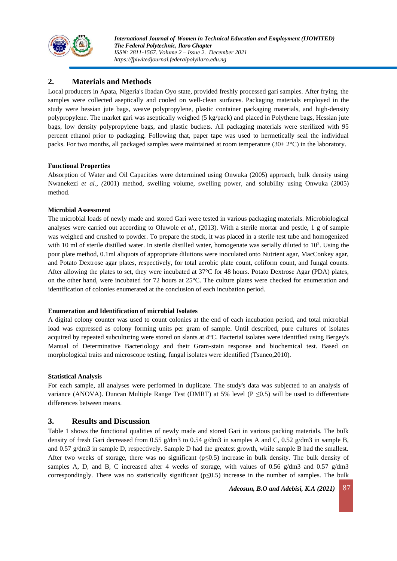

## **2. Materials and Methods**

Local producers in Apata, Nigeria's Ibadan Oyo state, provided freshly processed gari samples. After frying, the samples were collected aseptically and cooled on well-clean surfaces. Packaging materials employed in the study were hessian jute bags, weave polypropylene, plastic container packaging materials, and high-density polypropylene. The market gari was aseptically weighed (5 kg/pack) and placed in Polythene bags, Hessian jute bags, low density polypropylene bags, and plastic buckets. All packaging materials were sterilized with 95 percent ethanol prior to packaging. Following that, paper tape was used to hermetically seal the individual packs. For two months, all packaged samples were maintained at room temperature  $(30\pm 2^{\circ}C)$  in the laboratory.

#### **Functional Properties**

Absorption of Water and Oil Capacities were determined using Onwuka (2005) approach, bulk density using Nwanekezi *et al., (*2001) method, swelling volume, swelling power, and solubility using Onwuka (2005) method.

#### **Microbial Assessment**

The microbial loads of newly made and stored Gari were tested in various packaging materials. Microbiological analyses were carried out according to Oluwole *et al.,* (2013). With a sterile mortar and pestle, 1 g of sample was weighed and crushed to powder. To prepare the stock, it was placed in a sterile test tube and homogenized with 10 ml of sterile distilled water. In sterile distilled water, homogenate was serially diluted to  $10<sup>2</sup>$ . Using the pour plate method, 0.1ml aliquots of appropriate dilutions were inoculated onto Nutrient agar, MacConkey agar, and Potato Dextrose agar plates, respectively, for total aerobic plate count, coliform count, and fungal counts. After allowing the plates to set, they were incubated at 37°C for 48 hours. Potato Dextrose Agar (PDA) plates, on the other hand, were incubated for 72 hours at 25°C. The culture plates were checked for enumeration and identification of colonies enumerated at the conclusion of each incubation period.

#### **Enumeration and Identification of microbial Isolates**

A digital colony counter was used to count colonies at the end of each incubation period, and total microbial load was expressed as colony forming units per gram of sample. Until described, pure cultures of isolates acquired by repeated subculturing were stored on slants at 4<sup>o</sup>C. Bacterial isolates were identified using Bergey's Manual of Determinative Bacteriology and their Gram-stain response and biochemical test. Based on morphological traits and microscope testing, fungal isolates were identified (Tsuneo,2010).

#### **Statistical Analysis**

For each sample, all analyses were performed in duplicate. The study's data was subjected to an analysis of variance (ANOVA). Duncan Multiple Range Test (DMRT) at 5% level (P  $\leq$ 0.5) will be used to differentiate differences between means.

### **3. Results and Discussion**

Table 1 shows the functional qualities of newly made and stored Gari in various packing materials. The bulk density of fresh Gari decreased from 0.55 g/dm3 to 0.54 g/dm3 in samples A and C, 0.52 g/dm3 in sample B, and 0.57 g/dm3 in sample D, respectively. Sample D had the greatest growth, while sample B had the smallest. After two weeks of storage, there was no significant ( $p \le 0.5$ ) increase in bulk density. The bulk density of samples A, D, and B, C increased after 4 weeks of storage, with values of 0.56  $g/dm3$  and 0.57  $g/dm3$ correspondingly. There was no statistically significant ( $p \le 0.5$ ) increase in the number of samples. The bulk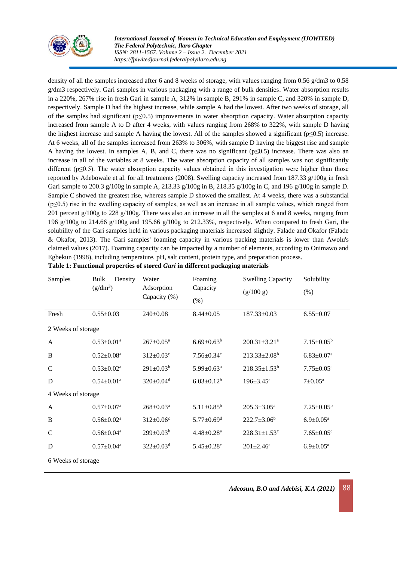

*International Journal of Women in Technical Education and Employment (IJOWITED) The Federal Polytechnic, Ilaro Chapter ISSN: 2811-1567. Volume 2 – Issue 2. December 2021 https://fpiwitedjournal.federalpolyilaro.edu.ng*

density of all the samples increased after 6 and 8 weeks of storage, with values ranging from 0.56 g/dm3 to 0.58 g/dm3 respectively. Gari samples in various packaging with a range of bulk densities. Water absorption results in a 220%, 267% rise in fresh Gari in sample A, 312% in sample B, 291% in sample C, and 320% in sample D, respectively. Sample D had the highest increase, while sample A had the lowest. After two weeks of storage, all of the samples had significant ( $p \le 0.5$ ) improvements in water absorption capacity. Water absorption capacity increased from sample A to D after 4 weeks, with values ranging from 268% to 322%, with sample D having the highest increase and sample A having the lowest. All of the samples showed a significant ( $p \le 0.5$ ) increase. At 6 weeks, all of the samples increased from 263% to 306%, with sample D having the biggest rise and sample A having the lowest. In samples A, B, and C, there was no significant ( $p\leq 0.5$ ) increase. There was also an increase in all of the variables at 8 weeks. The water absorption capacity of all samples was not significantly different ( $p \leq 0.5$ ). The water absorption capacity values obtained in this investigation were higher than those reported by Adebowale et al. for all treatments (2008). Swelling capacity increased from 187.33 g/100g in fresh Gari sample to 200.3 g/100g in sample A, 213.33 g/100g in B, 218.35 g/100g in C, and 196 g/100g in sample D. Sample C showed the greatest rise, whereas sample D showed the smallest. At 4 weeks, there was a substantial (p≤0.5) rise in the swelling capacity of samples, as well as an increase in all sample values, which ranged from 201 percent g/100g to 228 g/100g. There was also an increase in all the samples at 6 and 8 weeks, ranging from 196 g/100g to 214.66 g/100g and 195.66 g/100g to 212.33%, respectively. When compared to fresh Gari, the solubility of the Gari samples held in various packaging materials increased slightly. Falade and Okafor (Falade & Okafor, 2013). The Gari samples' foaming capacity in various packing materials is lower than Awolu's claimed values (2017). Foaming capacity can be impacted by a number of elements, according to Onimawo and Egbekun (1998), including temperature, pH, salt content, protein type, and preparation process.

| Samples            | Density<br>Bulk              | Water<br>Adsorption<br>Capacity (%) | Foaming                      | <b>Swelling Capacity</b>       | Solubility                   |  |  |
|--------------------|------------------------------|-------------------------------------|------------------------------|--------------------------------|------------------------------|--|--|
|                    | $(g/dm^3)$                   |                                     | Capacity                     | (g/100 g)                      | (% )                         |  |  |
|                    |                              |                                     | $(\% )$                      |                                |                              |  |  |
| Fresh              | $0.55 \pm 0.03$              | $240 \pm 0.08$                      | $8.44 \pm 0.05$              | 187.33±0.03                    | $6.55 \pm 0.07$              |  |  |
|                    | 2 Weeks of storage           |                                     |                              |                                |                              |  |  |
| A                  | $0.53 \pm 0.01^a$            | $267 \pm 0.05^{\text{a}}$           | $6.69 \pm 0.63^b$            | $200.31 \pm 3.21$ <sup>a</sup> | $7.15 \pm 0.05^b$            |  |  |
| B                  | $0.52 \pm 0.08^a$            | $312 \pm 0.03$ <sup>c</sup>         | $7.56 \pm 0.34$ <sup>c</sup> | $213.33 \pm 2.08^b$            | $6.83 \pm 0.07^{\text{a}}$   |  |  |
| C                  | $0.53 \pm 0.02^a$            | $291 \pm 0.03^b$                    | $5.99 \pm 0.63$ <sup>a</sup> | $218.35 \pm 1.53^b$            | $7.75 \pm 0.05$ <sup>c</sup> |  |  |
| D                  | $0.54 \pm 0.01$ <sup>a</sup> | $320 \pm 0.04$ <sup>d</sup>         | $6.03 \pm 0.12^b$            | $196 \pm 3.45^{\text{a}}$      | $7 \pm 0.05^{\text{a}}$      |  |  |
| 4 Weeks of storage |                              |                                     |                              |                                |                              |  |  |
| A                  | $0.57 \pm 0.07^{\text{a}}$   | $268 \pm 0.03^a$                    | $5.11 \pm 0.85^b$            | $205.3 \pm 3.05^{\text{a}}$    | $7.25 \pm 0.05^b$            |  |  |
| B                  | $0.56 \pm 0.02^a$            | $312 \pm 0.06$ <sup>c</sup>         | $5.77 \pm 0.69$ <sup>d</sup> | $222.7 \pm 3.06^b$             | $6.9 \pm 0.05^{\text{a}}$    |  |  |
| C                  | $0.56 \pm 0.04^a$            | $299 \pm 0.03^b$                    | $4.48 \pm 0.28$ <sup>a</sup> | $228.31 \pm 1.53$ <sup>c</sup> | $7.65 \pm 0.05$ <sup>c</sup> |  |  |
| D                  | $0.57 \pm 0.04^a$            | $322 \pm 0.03$ <sup>d</sup>         | $5.45 \pm 0.28$ c            | $201 \pm 2.46^a$               | $6.9 \pm 0.05^{\text{a}}$    |  |  |
| 6 Weeks of storage |                              |                                     |                              |                                |                              |  |  |

| Table 1: Functional properties of stored Gari in different packaging materials |  |  |  |
|--------------------------------------------------------------------------------|--|--|--|

*Adeosun, B.O and Adebisi, K.A (2021)* 88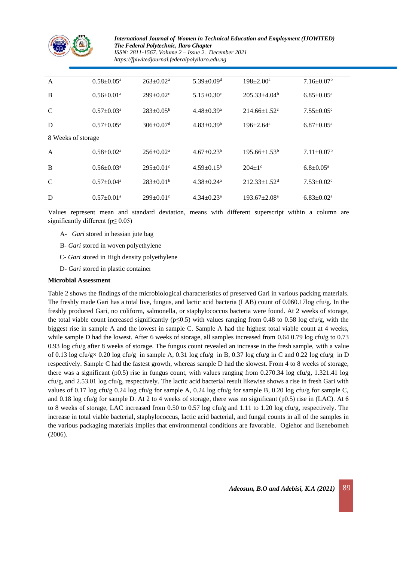

*International Journal of Women in Technical Education and Employment (IJOWITED) The Federal Polytechnic, Ilaro Chapter ISSN: 2811-1567. Volume 2 – Issue 2. December 2021 https://fpiwitedjournal.federalpolyilaro.edu.ng*

| $\mathbf{A}$       | $0.58 \pm 0.05^{\text{a}}$   | $263+0.02^a$                | $5.39 \pm 0.09$ <sup>d</sup> | $198 \pm 2.00^a$               | $7.16 \pm 0.07^b$            |  |  |
|--------------------|------------------------------|-----------------------------|------------------------------|--------------------------------|------------------------------|--|--|
| B                  | $0.56 \pm 0.01^a$            | $299 \pm 0.02$ <sup>c</sup> | $5.15 \pm 0.30$ <sup>c</sup> | $205.33 + 4.04^b$              | $6.85 \pm 0.05^{\text{a}}$   |  |  |
| $\mathcal{C}$      | $0.57 \pm 0.03^{\text{a}}$   | $283+0.05^{\rm b}$          | $4.48 \pm 0.39$ <sup>a</sup> | $214.66 \pm 1.52$ <sup>c</sup> | $7.55 \pm 0.05$ <sup>c</sup> |  |  |
| D                  | $0.57 \pm 0.05^{\text{a}}$   | $306 \pm 0.07$ <sup>d</sup> | $4.83 \pm 0.39^b$            | $196 \pm 2.64$ <sup>a</sup>    | $6.87 \pm 0.05^{\text{a}}$   |  |  |
| 8 Weeks of storage |                              |                             |                              |                                |                              |  |  |
| $\mathbf{A}$       | $0.58 \pm 0.02^{\text{a}}$   | $256 \pm 0.02^a$            | $4.67+0.23b$                 | $195.66 \pm 1.53^b$            | $7.11 \pm 0.07^b$            |  |  |
| B                  | $0.56 \pm 0.03$ <sup>a</sup> | $295 \pm 0.01$ <sup>c</sup> | $4.59 \pm 0.15^b$            | $204+1$ °                      | $6.8 \pm 0.05^{\text{a}}$    |  |  |
| $\mathcal{C}$      | $0.57 \pm 0.04^a$            | $283+0.01b$                 | $4.38 + 0.24$ <sup>a</sup>   | $212.33 \pm 1.52$ <sup>d</sup> | $7.53 \pm 0.02$ <sup>c</sup> |  |  |
| D                  | $0.57 \pm 0.01$ <sup>a</sup> | $299 \pm 0.01$ <sup>c</sup> | $4.34 + 0.23^a$              | $193.67 \pm 2.08^{\text{a}}$   | $6.83 \pm 0.02^a$            |  |  |

Values represent mean and standard deviation, means with different superscript within a column are significantly different ( $p \le 0.05$ )

- A- *Gari* stored in hessian jute bag
- B- *Gari* stored in woven polyethylene
- C- *Gari* stored in High density polyethylene
- D- *Gari* stored in plastic container

#### **Microbial Assessment**

Table 2 shows the findings of the microbiological characteristics of preserved Gari in various packing materials. The freshly made Gari has a total live, fungus, and lactic acid bacteria (LAB) count of 0.060.17log cfu/g. In the freshly produced Gari, no coliform, salmonella, or staphylococcus bacteria were found. At 2 weeks of storage, the total viable count increased significantly ( $p\leq 0.5$ ) with values ranging from 0.48 to 0.58 log cfu/g, with the biggest rise in sample A and the lowest in sample C. Sample A had the highest total viable count at 4 weeks, while sample D had the lowest. After 6 weeks of storage, all samples increased from 0.64 0.79 log cfu/g to 0.73 0.93 log cfu/g after 8 weeks of storage. The fungus count revealed an increase in the fresh sample, with a value of 0.13 log cfu/g× 0.20 log cfu/g in sample A, 0.31 log cfu/g in B, 0.37 log cfu/g in C and 0.22 log cfu/g in D respectively. Sample C had the fastest growth, whereas sample D had the slowest. From 4 to 8 weeks of storage, there was a significant (p0.5) rise in fungus count, with values ranging from 0.270.34 log cfu/g, 1.321.41 log  $c$ fu/g, and 2.53.01 log  $c$ fu/g, respectively. The lactic acid bacterial result likewise shows a rise in fresh Gari with values of 0.17 log cfu/g 0.24 log cfu/g for sample A, 0.24 log cfu/g for sample B, 0.20 log cfu/g for sample C, and 0.18 log cfu/g for sample D. At 2 to 4 weeks of storage, there was no significant (p0.5) rise in (LAC). At 6 to 8 weeks of storage, LAC increased from 0.50 to 0.57 log cfu/g and 1.11 to 1.20 log cfu/g, respectively. The increase in total viable bacterial, staphylococcus, lactic acid bacterial, and fungal counts in all of the samples in the various packaging materials implies that environmental conditions are favorable. Ogiehor and Ikenebomeh (2006).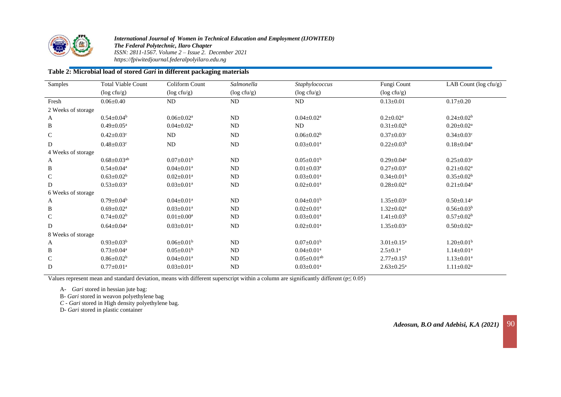

*International Journal of Women in Technical Education and Employment (IJOWITED) The Federal Polytechnic, Ilaro Chapter ISSN: 2811-1567. Volume 2 – Issue 2. December 2021 https://fpiwitedjournal.federalpolyilaro.edu.ng*

### **Table 2: Microbial load of stored** *Gari* **in different packaging materials**

| Samples            | <b>Total Viable Count</b>     | Coliform Count               | Salmonella       | Staphylococcus                | Fungi Count                  | LAB Count (log cfu/g)        |  |
|--------------------|-------------------------------|------------------------------|------------------|-------------------------------|------------------------------|------------------------------|--|
|                    | $(\log c f u/g)$              | $(\log c f u/g)$             | $(\log c f u/g)$ | $(\log c f u/g)$              | $(\log c f u/g)$             |                              |  |
| Fresh              | $0.06 \pm 0.40$               | ND                           | <b>ND</b>        | ND                            | $0.13 \pm 0.01$              | $0.17 \pm 0.20$              |  |
| 2 Weeks of storage |                               |                              |                  |                               |                              |                              |  |
| $\mathbf{A}$       | $0.54 \pm 0.04^b$             | $0.06 + 0.02a$               | ND               | $0.04 \pm 0.02^a$             | $0.2 \pm 0.02^a$             | $0.24 \pm 0.02^b$            |  |
| B                  | $0.49 \pm 0.05^{\text{a}}$    | $0.04 \pm 0.02^a$            | <b>ND</b>        | ND                            | $0.31 \pm 0.02^b$            | $0.20 \pm 0.02$ <sup>a</sup> |  |
| $\mathsf{C}$       | $0.42 \pm 0.03$ <sup>c</sup>  | ND                           | <b>ND</b>        | $0.06 \pm 0.02^b$             | $0.37 \pm 0.03$ <sup>c</sup> | $0.34 \pm 0.03$ <sup>c</sup> |  |
| D                  | $0.48 \pm 0.03$ <sup>c</sup>  | ND                           | <b>ND</b>        | $0.03 \pm 0.01$ <sup>a</sup>  | $0.22 \pm 0.03^b$            | $0.18 \pm 0.04^a$            |  |
| 4 Weeks of storage |                               |                              |                  |                               |                              |                              |  |
| A                  | $0.68 \pm 0.03$ <sup>ab</sup> | $0.07 \pm 0.01^{\rm b}$      | <b>ND</b>        | $0.05 \pm 0.01^b$             | $0.29 \pm 0.04$ <sup>a</sup> | $0.25 \pm 0.03^{\text{a}}$   |  |
| $\, {\bf B}$       | $0.54 \pm 0.04^a$             | $0.04 \pm 0.01$ <sup>a</sup> | <b>ND</b>        | $0.01 \pm 0.03^a$             | $0.27 \pm 0.03^{\text{a}}$   | $0.21 \pm 0.02^a$            |  |
| $\mathsf{C}$       | $0.63 \pm 0.02^b$             | $0.02 \pm 0.01$ <sup>a</sup> | <b>ND</b>        | $0.03 \pm 0.01$ <sup>a</sup>  | $0.34 \pm 0.01^b$            | $0.35 \pm 0.02^b$            |  |
| D                  | $0.53 \pm 0.03^{\text{a}}$    | $0.03 \pm 0.01$ <sup>a</sup> | <b>ND</b>        | $0.02 \pm 0.01$ <sup>a</sup>  | $0.28 \pm 0.02^a$            | $0.21 \pm 0.04^a$            |  |
| 6 Weeks of storage |                               |                              |                  |                               |                              |                              |  |
| A                  | $0.79 \pm 0.04^b$             | $0.04 \pm 0.01$ <sup>a</sup> | ND               | $0.04 \pm 0.01^b$             | $1.35 \pm 0.03^a$            | $0.50 \pm 0.14$ <sup>a</sup> |  |
| B                  | $0.69 \pm 0.02^{\text{a}}$    | $0.03 \pm 0.01$ <sup>a</sup> | ND               | $0.02 \pm 0.01$ <sup>a</sup>  | $1.32 \pm 0.02^a$            | $0.56 \pm 0.03^b$            |  |
| C                  | $0.74 \pm 0.02^b$             | $0.01 \pm 0.00^a$            | <b>ND</b>        | $0.03 \pm 0.01$ <sup>a</sup>  | $1.41 \pm 0.03^b$            | $0.57 \pm 0.02^b$            |  |
| D                  | $0.64 \pm 0.04$ <sup>a</sup>  | $0.03 \pm 0.01$ <sup>a</sup> | <b>ND</b>        | $0.02 \pm 0.01$ <sup>a</sup>  | $1.35 \pm 0.03^a$            | $0.50 \pm 0.02^{\text{a}}$   |  |
| 8 Weeks of storage |                               |                              |                  |                               |                              |                              |  |
| A                  | $0.93 \pm 0.03^b$             | $0.06 \pm 0.01^b$            | ND               | $0.07 \pm 0.01^{\rm b}$       | $3.01 \pm 0.15^a$            | $1.20 \pm 0.01^b$            |  |
| B                  | $0.73 \pm 0.04$ <sup>a</sup>  | $0.05 \pm 0.01^{\rm b}$      | <b>ND</b>        | $0.04 \pm 0.01$ <sup>a</sup>  | $2.5 \pm 0.1^a$              | $1.14 \pm 0.01$ <sup>a</sup> |  |
| $\mathsf{C}$       | $0.86 \pm 0.02^b$             | $0.04 \pm 0.01$ <sup>a</sup> | <b>ND</b>        | $0.05 \pm 0.01$ <sup>ab</sup> | $2.77 \pm 0.15^b$            | $1.13 \pm 0.01^a$            |  |
| D                  | $0.77 \pm 0.01$ <sup>a</sup>  | $0.03 \pm 0.01$ <sup>a</sup> | <b>ND</b>        | $0.03 \pm 0.01$ <sup>a</sup>  | $2.63 \pm 0.25$ <sup>a</sup> | $1.11 \pm 0.02^a$            |  |

Values represent mean and standard deviation, means with different superscript within a column are significantly different ( $p \le 0.05$ )

A- *Gari* stored in hessian jute bag:

B- *Gari* stored in weavon polyethylene bag

*C - Gari* stored in High density polyethylene bag.

D- *Gari* stored in plastic container

*Adeosun, B.O and Adebisi, K.A (2021)* 90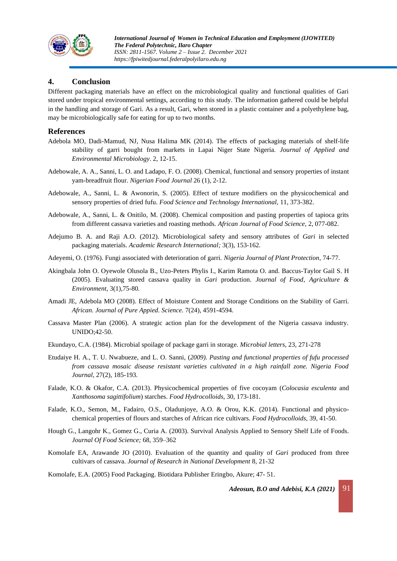

### **4. Conclusion**

Different packaging materials have an effect on the microbiological quality and functional qualities of Gari stored under tropical environmental settings, according to this study. The information gathered could be helpful in the handling and storage of Gari. As a result, Gari, when stored in a plastic container and a polyethylene bag, may be microbiologically safe for eating for up to two months.

#### **References**

- Adebola MO, Dadi-Mamud, NJ, Nusa Halima MK (2014). The effects of packaging materials of shelf-life stability of garri bought from markets in Lapai Niger State Nigeria. *Journal of Applied and Environmental Microbiology*. 2, 12-15.
- Adebowale, A. A., Sanni, L. O. and Ladapo, F. O. (2008). Chemical, functional and sensory properties of instant yam-breadfruit flour. *Nigerian Food Journal* 26 (1), 2-12.
- Adebowale, A., Sanni, L. & Awonorin, S. (2005). Effect of texture modifiers on the physicochemical and sensory properties of dried fufu. *Food Science and Technology International,* 11, 373-382.
- Adebowale, A., Sanni, L. & Onitilo, M. (2008). Chemical composition and pasting properties of tapioca grits from different cassava varieties and roasting methods. *African Journal of Food Science,* 2, 077-082.
- Adejumo B. A. and Raji A.O. (2012). Microbiological safety and sensory attributes of *Gari* in selected packaging materials. *Academic Research International;* 3(3), 153-162*.*
- Adeyemi, O. (1976). Fungi associated with deterioration of garri. *Nigeria Journal of Plant Protection*, 74-77.
- Akingbala John O. Oyewole Olusola B., Uzo-Peters Phylis I., Karim Ramota O. and. Baccus-Taylor Gail S. H (2005). Evaluating stored cassava quality in *Gari* production. *Journal of Food*, *Agriculture & Environment,* 3(1),75-80*.*
- Amadi JE, Adebola MO (2008). Effect of Moisture Content and Storage Conditions on the Stability of Garri. *African. Journal of Pure Appied. Science.* 7(24), 4591-4594*.*
- Cassava Master Plan (2006). A strategic action plan for the development of the Nigeria cassava industry. UNIDO;42-50.
- Ekundayo, C.A. (1984). Microbial spoilage of package garri in storage. *Microbial letters,* 23, 271-278
- Etudaiye H. A., T. U. Nwabueze, and L. O. Sanni, (*2009). Pasting and functional properties of fufu processed from cassava mosaic disease resistant varieties cultivated in a high rainfall zone. Nigeria Food Journal*, 27(2), 185-193*.*
- Falade, K.O. & Okafor, C.A. (2013). Physicochemical properties of five cocoyam (*Colocasia esculenta* and *Xanthosoma sagittifolium*) starches. *Food Hydrocolloids,* 30, 173-181.
- Falade, K.O., Semon, M., Fadairo, O.S., Oladunjoye, A.O. & Orou, K.K. (2014). Functional and physicochemical properties of flours and starches of African rice cultivars. *Food Hydrocolloids,* 39, 41-50.
- Hough G., Langohr K., Gomez G., Curia A. (2003). Survival Analysis Applied to Sensory Shelf Life of Foods. *Journal Of Food Science;* 68, 359–362
- Komolafe EA, Arawande JO (2010). Evaluation of the quantity and quality of *Gari* produced from three cultivars of cassava. *Journal of Research in National Development* 8, 21-32

Komolafe, E.A. (2005) Food Packaging. Biotidara Publisher Eringbo, Akure; 47- 51.

*Adeosun, B.O and Adebisi, K.A (2021)* 91